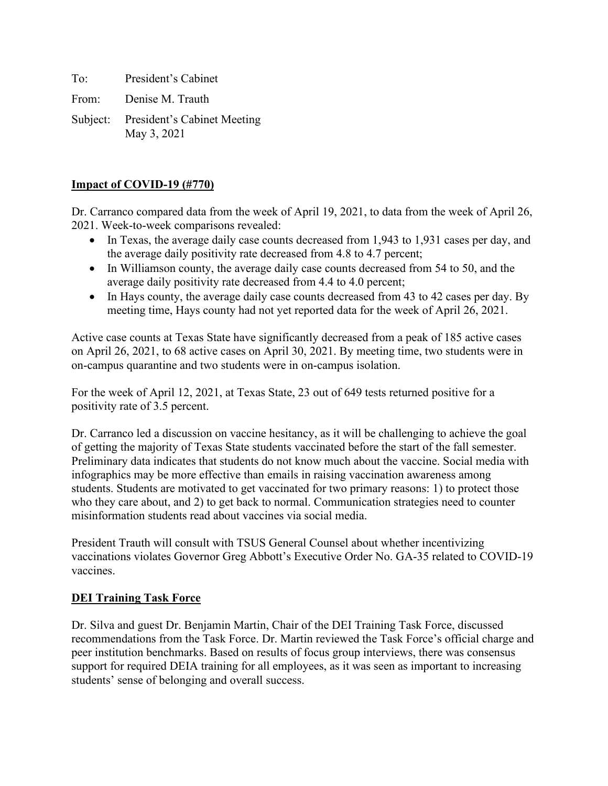To: President's Cabinet

From: Denise M. Trauth

Subject: President's Cabinet Meeting May 3, 2021

## **Impact of COVID-19 (#770)**

Dr. Carranco compared data from the week of April 19, 2021, to data from the week of April 26, 2021. Week-to-week comparisons revealed:

- In Texas, the average daily case counts decreased from 1,943 to 1,931 cases per day, and the average daily positivity rate decreased from 4.8 to 4.7 percent;
- In Williamson county, the average daily case counts decreased from 54 to 50, and the average daily positivity rate decreased from 4.4 to 4.0 percent;
- In Hays county, the average daily case counts decreased from 43 to 42 cases per day. By meeting time, Hays county had not yet reported data for the week of April 26, 2021.

Active case counts at Texas State have significantly decreased from a peak of 185 active cases on April 26, 2021, to 68 active cases on April 30, 2021. By meeting time, two students were in on-campus quarantine and two students were in on-campus isolation.

For the week of April 12, 2021, at Texas State, 23 out of 649 tests returned positive for a positivity rate of 3.5 percent.

Dr. Carranco led a discussion on vaccine hesitancy, as it will be challenging to achieve the goal of getting the majority of Texas State students vaccinated before the start of the fall semester. Preliminary data indicates that students do not know much about the vaccine. Social media with infographics may be more effective than emails in raising vaccination awareness among students. Students are motivated to get vaccinated for two primary reasons: 1) to protect those who they care about, and 2) to get back to normal. Communication strategies need to counter misinformation students read about vaccines via social media.

President Trauth will consult with TSUS General Counsel about whether incentivizing vaccinations violates Governor Greg Abbott's Executive Order No. GA-35 related to COVID-19 vaccines.

### **DEI Training Task Force**

Dr. Silva and guest Dr. Benjamin Martin, Chair of the DEI Training Task Force, discussed recommendations from the Task Force. Dr. Martin reviewed the Task Force's official charge and peer institution benchmarks. Based on results of focus group interviews, there was consensus support for required DEIA training for all employees, as it was seen as important to increasing students' sense of belonging and overall success.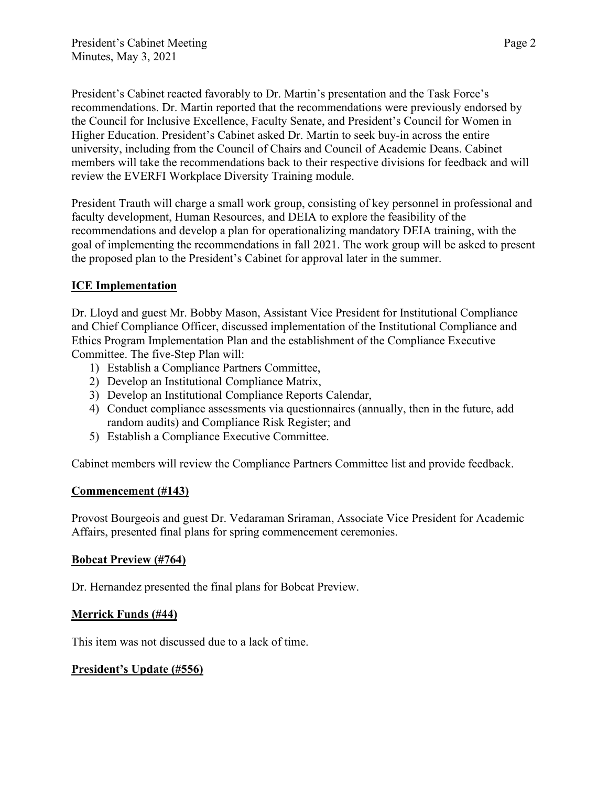President's Cabinet reacted favorably to Dr. Martin's presentation and the Task Force's recommendations. Dr. Martin reported that the recommendations were previously endorsed by the Council for Inclusive Excellence, Faculty Senate, and President's Council for Women in Higher Education. President's Cabinet asked Dr. Martin to seek buy-in across the entire university, including from the Council of Chairs and Council of Academic Deans. Cabinet members will take the recommendations back to their respective divisions for feedback and will review the EVERFI Workplace Diversity Training module.

President Trauth will charge a small work group, consisting of key personnel in professional and faculty development, Human Resources, and DEIA to explore the feasibility of the recommendations and develop a plan for operationalizing mandatory DEIA training, with the goal of implementing the recommendations in fall 2021. The work group will be asked to present the proposed plan to the President's Cabinet for approval later in the summer.

## **ICE Implementation**

Dr. Lloyd and guest Mr. Bobby Mason, Assistant Vice President for Institutional Compliance and Chief Compliance Officer, discussed implementation of the Institutional Compliance and Ethics Program Implementation Plan and the establishment of the Compliance Executive Committee. The five-Step Plan will:

- 1) Establish a Compliance Partners Committee,
- 2) Develop an Institutional Compliance Matrix,
- 3) Develop an Institutional Compliance Reports Calendar,
- 4) Conduct compliance assessments via questionnaires (annually, then in the future, add random audits) and Compliance Risk Register; and
- 5) Establish a Compliance Executive Committee.

Cabinet members will review the Compliance Partners Committee list and provide feedback.

## **Commencement (#143)**

Provost Bourgeois and guest Dr. Vedaraman Sriraman, Associate Vice President for Academic Affairs, presented final plans for spring commencement ceremonies.

## **Bobcat Preview (#764)**

Dr. Hernandez presented the final plans for Bobcat Preview.

## **Merrick Funds (#44)**

This item was not discussed due to a lack of time.

## **President's Update (#556)**